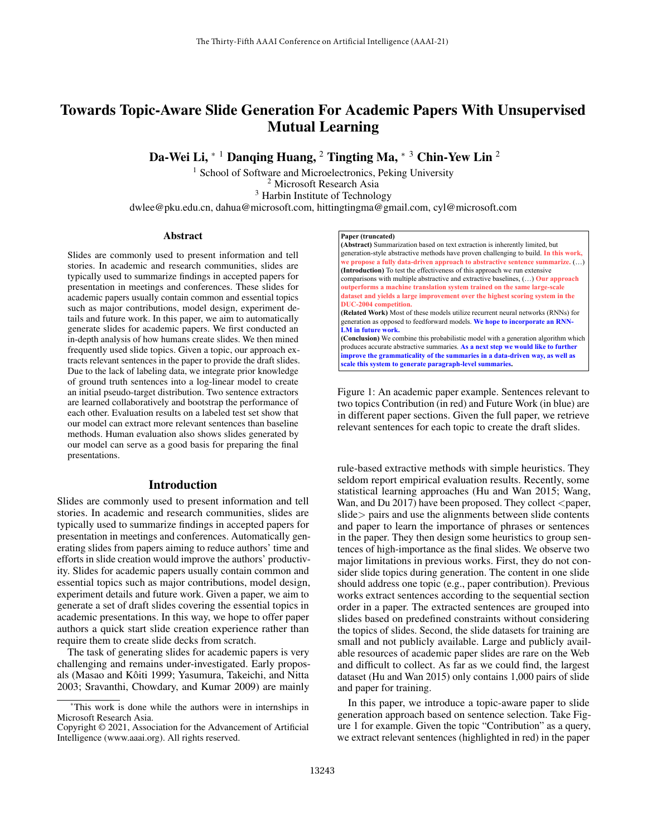# Towards Topic-Aware Slide Generation For Academic Papers With Unsupervised Mutual Learning

Da-Wei Li,  $*$ <sup>1</sup> Danging Huang, <sup>2</sup> Tingting Ma,  $*$ <sup>3</sup> Chin-Yew Lin<sup>2</sup>

<sup>1</sup> School of Software and Microelectronics, Peking University

<sup>2</sup> Microsoft Research Asia

<sup>3</sup> Harbin Institute of Technology

dwlee@pku.edu.cn, dahua@microsoft.com, hittingtingma@gmail.com, cyl@microsoft.com

#### Abstract

Slides are commonly used to present information and tell stories. In academic and research communities, slides are typically used to summarize findings in accepted papers for presentation in meetings and conferences. These slides for academic papers usually contain common and essential topics such as major contributions, model design, experiment details and future work. In this paper, we aim to automatically generate slides for academic papers. We first conducted an in-depth analysis of how humans create slides. We then mined frequently used slide topics. Given a topic, our approach extracts relevant sentences in the paper to provide the draft slides. Due to the lack of labeling data, we integrate prior knowledge of ground truth sentences into a log-linear model to create an initial pseudo-target distribution. Two sentence extractors are learned collaboratively and bootstrap the performance of each other. Evaluation results on a labeled test set show that our model can extract more relevant sentences than baseline methods. Human evaluation also shows slides generated by our model can serve as a good basis for preparing the final presentations.

## Introduction

Slides are commonly used to present information and tell stories. In academic and research communities, slides are typically used to summarize findings in accepted papers for presentation in meetings and conferences. Automatically generating slides from papers aiming to reduce authors' time and efforts in slide creation would improve the authors' productivity. Slides for academic papers usually contain common and essential topics such as major contributions, model design, experiment details and future work. Given a paper, we aim to generate a set of draft slides covering the essential topics in academic presentations. In this way, we hope to offer paper authors a quick start slide creation experience rather than require them to create slide decks from scratch.

The task of generating slides for academic papers is very challenging and remains under-investigated. Early proposals (Masao and Kôiti 1999; Yasumura, Takeichi, and Nitta 2003; Sravanthi, Chowdary, and Kumar 2009) are mainly



generation-style abstractive methods have proven challenging to build. **In this work, we propose a fully data-driven approach to abstractive sentence summarize.** (…) **(Introduction)** To test the effectiveness of this approach we run extensive comparisons with multiple abstractive and extractive baselines, (…) **Our approach outperforms a machine translation system trained on the same large-scale dataset and yields a large improvement over the highest scoring system in the DUC-2004 competition. (Related Work)** Most of these models utilize recurrent neural networks (RNNs) for generation as opposed to feedforward models. **We hope to incorporate an RNN- LM in future work. (Conclusion)** We combine this probabilistic model with a generation algorithm which produces accurate abstractive summaries. **As a next step we would like to further improve the grammaticality of the summaries in a data-driven way, as well as scale this system to generate paragraph-level summaries.**

Figure 1: An academic paper example. Sentences relevant to two topics Contribution (in red) and Future Work (in blue) are in different paper sections. Given the full paper, we retrieve relevant sentences for each topic to create the draft slides.

rule-based extractive methods with simple heuristics. They seldom report empirical evaluation results. Recently, some statistical learning approaches (Hu and Wan 2015; Wang, Wan, and Du 2017) have been proposed. They collect  $\langle$  paper, slide > pairs and use the alignments between slide contents and paper to learn the importance of phrases or sentences in the paper. They then design some heuristics to group sentences of high-importance as the final slides. We observe two major limitations in previous works. First, they do not consider slide topics during generation. The content in one slide should address one topic (e.g., paper contribution). Previous works extract sentences according to the sequential section order in a paper. The extracted sentences are grouped into slides based on predefined constraints without considering the topics of slides. Second, the slide datasets for training are small and not publicly available. Large and publicly available resources of academic paper slides are rare on the Web and difficult to collect. As far as we could find, the largest dataset (Hu and Wan 2015) only contains 1,000 pairs of slide and paper for training.

In this paper, we introduce a topic-aware paper to slide generation approach based on sentence selection. Take Figure 1 for example. Given the topic "Contribution" as a query, we extract relevant sentences (highlighted in red) in the paper

<sup>\*</sup>This work is done while the authors were in internships in Microsoft Research Asia.

Copyright © 2021, Association for the Advancement of Artificial Intelligence (www.aaai.org). All rights reserved.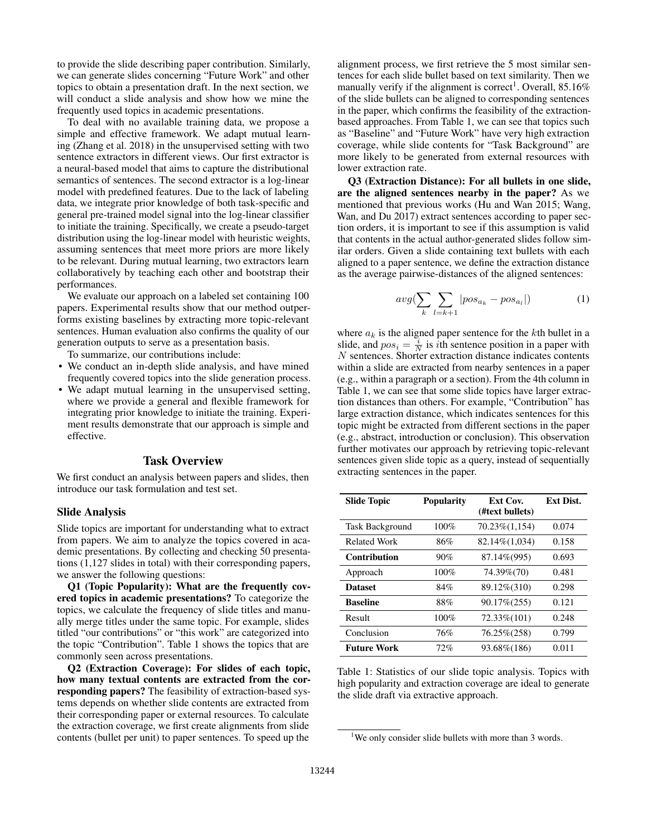to provide the slide describing paper contribution. Similarly, we can generate slides concerning "Future Work" and other topics to obtain a presentation draft. In the next section, we will conduct a slide analysis and show how we mine the frequently used topics in academic presentations.

To deal with no available training data, we propose a simple and effective framework. We adapt mutual learning (Zhang et al. 2018) in the unsupervised setting with two sentence extractors in different views. Our first extractor is a neural-based model that aims to capture the distributional semantics of sentences. The second extractor is a log-linear model with predefined features. Due to the lack of labeling data, we integrate prior knowledge of both task-specific and general pre-trained model signal into the log-linear classifier to initiate the training. Specifically, we create a pseudo-target distribution using the log-linear model with heuristic weights, assuming sentences that meet more priors are more likely to be relevant. During mutual learning, two extractors learn collaboratively by teaching each other and bootstrap their performances.

We evaluate our approach on a labeled set containing 100 papers. Experimental results show that our method outperforms existing baselines by extracting more topic-relevant sentences. Human evaluation also confirms the quality of our generation outputs to serve as a presentation basis.

To summarize, our contributions include:

- We conduct an in-depth slide analysis, and have mined frequently covered topics into the slide generation process.
- We adapt mutual learning in the unsupervised setting, where we provide a general and flexible framework for integrating prior knowledge to initiate the training. Experiment results demonstrate that our approach is simple and effective.

#### Task Overview

We first conduct an analysis between papers and slides, then introduce our task formulation and test set.

#### Slide Analysis

Slide topics are important for understanding what to extract from papers. We aim to analyze the topics covered in academic presentations. By collecting and checking 50 presentations (1,127 slides in total) with their corresponding papers, we answer the following questions:

Q1 (Topic Popularity): What are the frequently covered topics in academic presentations? To categorize the topics, we calculate the frequency of slide titles and manually merge titles under the same topic. For example, slides titled "our contributions" or "this work" are categorized into the topic "Contribution". Table 1 shows the topics that are commonly seen across presentations.

Q2 (Extraction Coverage): For slides of each topic, how many textual contents are extracted from the corresponding papers? The feasibility of extraction-based systems depends on whether slide contents are extracted from their corresponding paper or external resources. To calculate the extraction coverage, we first create alignments from slide contents (bullet per unit) to paper sentences. To speed up the

alignment process, we first retrieve the 5 most similar sentences for each slide bullet based on text similarity. Then we manually verify if the alignment is correct<sup>1</sup>. Overall,  $85.16\%$ of the slide bullets can be aligned to corresponding sentences in the paper, which confirms the feasibility of the extractionbased approaches. From Table 1, we can see that topics such as "Baseline" and "Future Work" have very high extraction coverage, while slide contents for "Task Background" are more likely to be generated from external resources with lower extraction rate.

Q3 (Extraction Distance): For all bullets in one slide, are the aligned sentences nearby in the paper? As we mentioned that previous works (Hu and Wan 2015; Wang, Wan, and Du 2017) extract sentences according to paper section orders, it is important to see if this assumption is valid that contents in the actual author-generated slides follow similar orders. Given a slide containing text bullets with each aligned to a paper sentence, we define the extraction distance as the average pairwise-distances of the aligned sentences:

$$
avg(\sum_{k} \sum_{l=k+1} |pos_{a_k} - pos_{a_l}|) \tag{1}
$$

where  $a_k$  is the aligned paper sentence for the kth bullet in a slide, and  $pos_i = \frac{i}{N}$  is *i*th sentence position in a paper with N sentences. Shorter extraction distance indicates contents within a slide are extracted from nearby sentences in a paper (e.g., within a paragraph or a section). From the 4th column in Table 1, we can see that some slide topics have larger extraction distances than others. For example, "Contribution" has large extraction distance, which indicates sentences for this topic might be extracted from different sections in the paper (e.g., abstract, introduction or conclusion). This observation further motivates our approach by retrieving topic-relevant sentences given slide topic as a query, instead of sequentially extracting sentences in the paper.

| <b>Slide Topic</b>     | <b>Popularity</b> | Ext Cov.<br>(#text bullets) | <b>Ext Dist.</b> |
|------------------------|-------------------|-----------------------------|------------------|
| <b>Task Background</b> | 100%              | $70.23\%(1,154)$            | 0.074            |
| <b>Related Work</b>    | 86%               | 82.14%(1,034)               | 0.158            |
| <b>Contribution</b>    | 90%               | 87.14%(995)                 | 0.693            |
| Approach               | 100%              | 74.39%(70)                  | 0.481            |
| <b>Dataset</b>         | 84%               | 89.12\%(310)                | 0.298            |
| <b>Baseline</b>        | 88%               | 90.17% (255)                | 0.121            |
| Result                 | 100%              | 72.33%(101)                 | 0.248            |
| Conclusion             | 76%               | 76.25%(258)                 | 0.799            |
| <b>Future Work</b>     | 72%               | 93.68%(186)                 | 0.011            |

Table 1: Statistics of our slide topic analysis. Topics with high popularity and extraction coverage are ideal to generate the slide draft via extractive approach.

<sup>&</sup>lt;sup>1</sup>We only consider slide bullets with more than 3 words.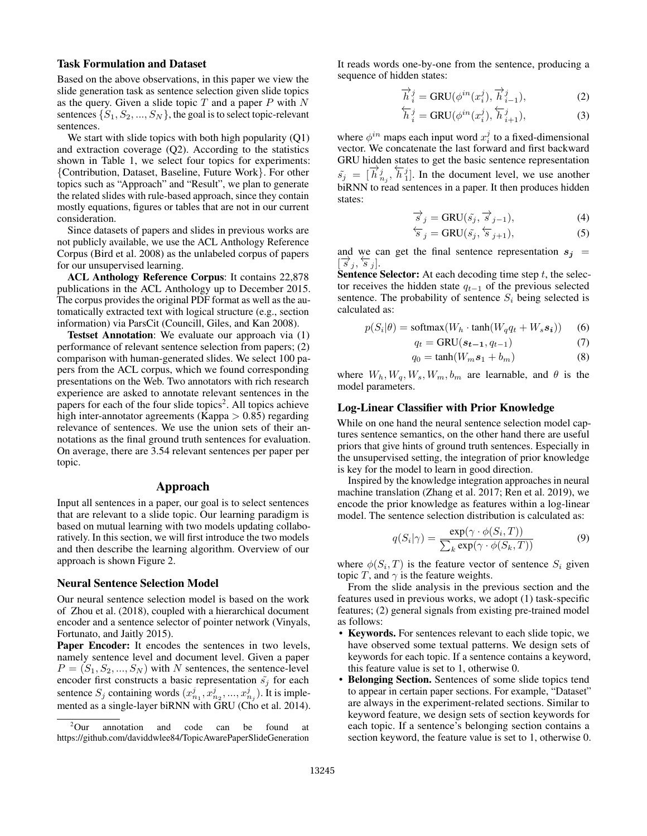#### Task Formulation and Dataset

Based on the above observations, in this paper we view the slide generation task as sentence selection given slide topics as the query. Given a slide topic  $T$  and a paper  $P$  with  $N$ sentences  $\{S_1, S_2, ..., S_N\}$ , the goal is to select topic-relevant sentences.

We start with slide topics with both high popularity (Q1) and extraction coverage (Q2). According to the statistics shown in Table 1, we select four topics for experiments: {Contribution, Dataset, Baseline, Future Work}. For other topics such as "Approach" and "Result", we plan to generate the related slides with rule-based approach, since they contain mostly equations, figures or tables that are not in our current consideration.

Since datasets of papers and slides in previous works are not publicly available, we use the ACL Anthology Reference Corpus (Bird et al. 2008) as the unlabeled corpus of papers for our unsupervised learning.

ACL Anthology Reference Corpus: It contains 22,878 publications in the ACL Anthology up to December 2015. The corpus provides the original PDF format as well as the automatically extracted text with logical structure (e.g., section information) via ParsCit (Councill, Giles, and Kan 2008).

Testset Annotation: We evaluate our approach via (1) performance of relevant sentence selection from papers; (2) comparison with human-generated slides. We select 100 papers from the ACL corpus, which we found corresponding presentations on the Web. Two annotators with rich research experience are asked to annotate relevant sentences in the papers for each of the four slide topics<sup>2</sup>. All topics achieve high inter-annotator agreements (Kappa  $> 0.85$ ) regarding relevance of sentences. We use the union sets of their annotations as the final ground truth sentences for evaluation. On average, there are 3.54 relevant sentences per paper per topic.

## Approach

Input all sentences in a paper, our goal is to select sentences that are relevant to a slide topic. Our learning paradigm is based on mutual learning with two models updating collaboratively. In this section, we will first introduce the two models and then describe the learning algorithm. Overview of our approach is shown Figure 2.

#### Neural Sentence Selection Model

Our neural sentence selection model is based on the work of Zhou et al. (2018), coupled with a hierarchical document encoder and a sentence selector of pointer network (Vinyals, Fortunato, and Jaitly 2015).

Paper Encoder: It encodes the sentences in two levels, namely sentence level and document level. Given a paper  $P = (S_1, S_2, ..., S_N)$  with N sentences, the sentence-level encoder first constructs a basic representation  $\tilde{s}_j$  for each sentence  $S_j$  containing words  $(x_{n_1}^j, x_{n_2}^j, ..., x_{n_j}^j)$ . It is implemented as a single-layer biRNN with GRU (Cho et al. 2014). It reads words one-by-one from the sentence, producing a sequence of hidden states:

$$
\overrightarrow{h}_{i}^{j} = \text{GRU}(\phi^{in}(x_{i}^{j}), \overrightarrow{h}_{i-1}^{j}), \qquad (2)
$$

$$
\overleftarrow{h}_{i}^{j} = \text{GRU}(\phi^{in}(x_{i}^{j}), \overleftarrow{h}_{i+1}^{j}), \tag{3}
$$

where  $\phi^{in}$  maps each input word  $x_i^j$  to a fixed-dimensional vector. We concatenate the last forward and first backward GRU hidden states to get the basic sentence representation  $\tilde{s}_j = [\vec{h}_{j_1}^j, \vec{h}_1^j]$ . In the document level, we use another biRNN to read sentences in a paper. It then produces hidden states:

$$
\overrightarrow{s}_{j} = \text{GRU}(\overrightarrow{s}_{j}, \overrightarrow{s}_{j-1}), \tag{4}
$$

$$
\overleftarrow{s}_j = \text{GRU}(\tilde{s}_j, \overleftarrow{s}_{j+1}),\tag{5}
$$

and we can get the final sentence representation  $s_j$  =  $\left[\overrightarrow{s}_j, \overleftarrow{s}_j\right]$ .

**Sentence Selector:** At each decoding time step  $t$ , the selector receives the hidden state  $q_{t-1}$  of the previous selected sentence. The probability of sentence  $S_i$  being selected is calculated as:

$$
p(S_i|\theta) = \text{softmax}(W_h \cdot \tanh(W_q q_t + W_s s_i)) \tag{6}
$$

$$
q_t = \text{GRU}(\boldsymbol{s}_{t-1}, q_{t-1}) \tag{7}
$$

$$
q_0 = \tanh(W_m s_1 + b_m) \tag{8}
$$

where  $W_h, W_q, W_s, W_m, b_m$  are learnable, and  $\theta$  is the model parameters.

#### Log-Linear Classifier with Prior Knowledge

While on one hand the neural sentence selection model captures sentence semantics, on the other hand there are useful priors that give hints of ground truth sentences. Especially in the unsupervised setting, the integration of prior knowledge is key for the model to learn in good direction.

Inspired by the knowledge integration approaches in neural machine translation (Zhang et al. 2017; Ren et al. 2019), we encode the prior knowledge as features within a log-linear model. The sentence selection distribution is calculated as:

$$
q(S_i|\gamma) = \frac{\exp(\gamma \cdot \phi(S_i, T))}{\sum_k \exp(\gamma \cdot \phi(S_k, T))}
$$
(9)

where  $\phi(S_i, T)$  is the feature vector of sentence  $S_i$  given topic T, and  $\gamma$  is the feature weights.

From the slide analysis in the previous section and the features used in previous works, we adopt (1) task-specific features; (2) general signals from existing pre-trained model as follows:

- Keywords. For sentences relevant to each slide topic, we have observed some textual patterns. We design sets of keywords for each topic. If a sentence contains a keyword, this feature value is set to 1, otherwise 0.
- Belonging Section. Sentences of some slide topics tend to appear in certain paper sections. For example, "Dataset" are always in the experiment-related sections. Similar to keyword feature, we design sets of section keywords for each topic. If a sentence's belonging section contains a section keyword, the feature value is set to 1, otherwise 0.

 ${}^{2}$ Our annotation and code can be found at https://github.com/daviddwlee84/TopicAwarePaperSlideGeneration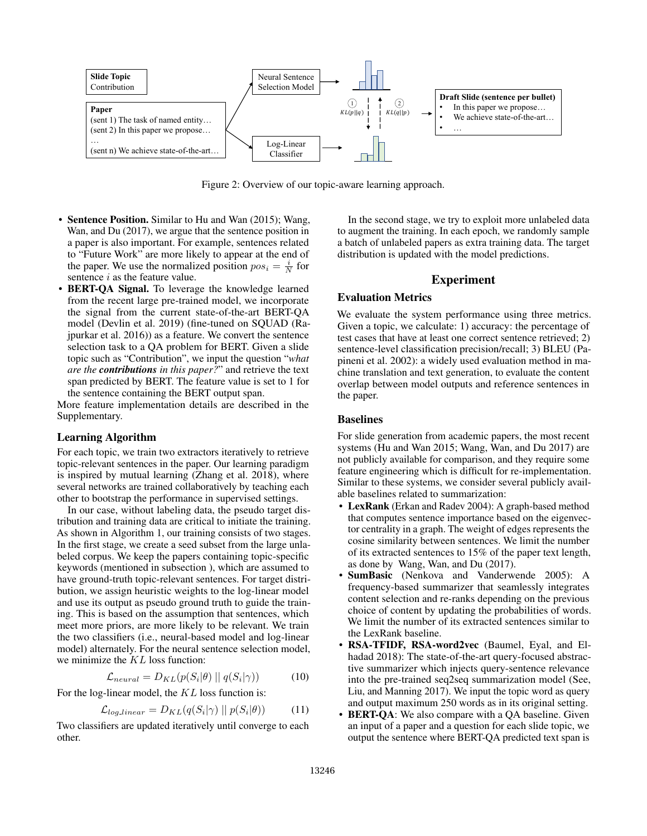

Figure 2: Overview of our topic-aware learning approach.

- Sentence Position. Similar to Hu and Wan (2015); Wang, Wan, and Du (2017), we argue that the sentence position in a paper is also important. For example, sentences related to "Future Work" are more likely to appear at the end of the paper. We use the normalized position  $pos_i = \frac{i}{N}$  for sentence  $i$  as the feature value.
- BERT-QA Signal. To leverage the knowledge learned from the recent large pre-trained model, we incorporate the signal from the current state-of-the-art BERT-QA model (Devlin et al. 2019) (fine-tuned on SQUAD (Rajpurkar et al. 2016)) as a feature. We convert the sentence selection task to a QA problem for BERT. Given a slide topic such as "Contribution", we input the question "*what are the contributions in this paper?*" and retrieve the text span predicted by BERT. The feature value is set to 1 for the sentence containing the BERT output span.

More feature implementation details are described in the Supplementary.

#### Learning Algorithm

For each topic, we train two extractors iteratively to retrieve topic-relevant sentences in the paper. Our learning paradigm is inspired by mutual learning (Zhang et al. 2018), where several networks are trained collaboratively by teaching each other to bootstrap the performance in supervised settings.

In our case, without labeling data, the pseudo target distribution and training data are critical to initiate the training. As shown in Algorithm 1, our training consists of two stages. In the first stage, we create a seed subset from the large unlabeled corpus. We keep the papers containing topic-specific keywords (mentioned in subsection ), which are assumed to have ground-truth topic-relevant sentences. For target distribution, we assign heuristic weights to the log-linear model and use its output as pseudo ground truth to guide the training. This is based on the assumption that sentences, which meet more priors, are more likely to be relevant. We train the two classifiers (i.e., neural-based model and log-linear model) alternately. For the neural sentence selection model, we minimize the KL loss function:

$$
\mathcal{L}_{neural} = D_{KL}(p(S_i|\theta) || q(S_i|\gamma)) \tag{10}
$$

For the log-linear model, the KL loss function is:

$$
\mathcal{L}_{log\_linear} = D_{KL}(q(S_i|\gamma) || p(S_i|\theta)) \tag{11}
$$

Two classifiers are updated iteratively until converge to each other.

In the second stage, we try to exploit more unlabeled data to augment the training. In each epoch, we randomly sample a batch of unlabeled papers as extra training data. The target distribution is updated with the model predictions.

#### Experiment

#### Evaluation Metrics

We evaluate the system performance using three metrics. Given a topic, we calculate: 1) accuracy: the percentage of test cases that have at least one correct sentence retrieved; 2) sentence-level classification precision/recall; 3) BLEU (Papineni et al. 2002): a widely used evaluation method in machine translation and text generation, to evaluate the content overlap between model outputs and reference sentences in the paper.

## Baselines

For slide generation from academic papers, the most recent systems (Hu and Wan 2015; Wang, Wan, and Du 2017) are not publicly available for comparison, and they require some feature engineering which is difficult for re-implementation. Similar to these systems, we consider several publicly available baselines related to summarization:

- LexRank (Erkan and Radev 2004): A graph-based method that computes sentence importance based on the eigenvector centrality in a graph. The weight of edges represents the cosine similarity between sentences. We limit the number of its extracted sentences to 15% of the paper text length, as done by Wang, Wan, and Du (2017).
- SumBasic (Nenkova and Vanderwende 2005): A frequency-based summarizer that seamlessly integrates content selection and re-ranks depending on the previous choice of content by updating the probabilities of words. We limit the number of its extracted sentences similar to the LexRank baseline.
- RSA-TFIDF, RSA-word2vec (Baumel, Eyal, and Elhadad 2018): The state-of-the-art query-focused abstractive summarizer which injects query-sentence relevance into the pre-trained seq2seq summarization model (See, Liu, and Manning 2017). We input the topic word as query and output maximum 250 words as in its original setting.
- **BERT-QA:** We also compare with a QA baseline. Given an input of a paper and a question for each slide topic, we output the sentence where BERT-QA predicted text span is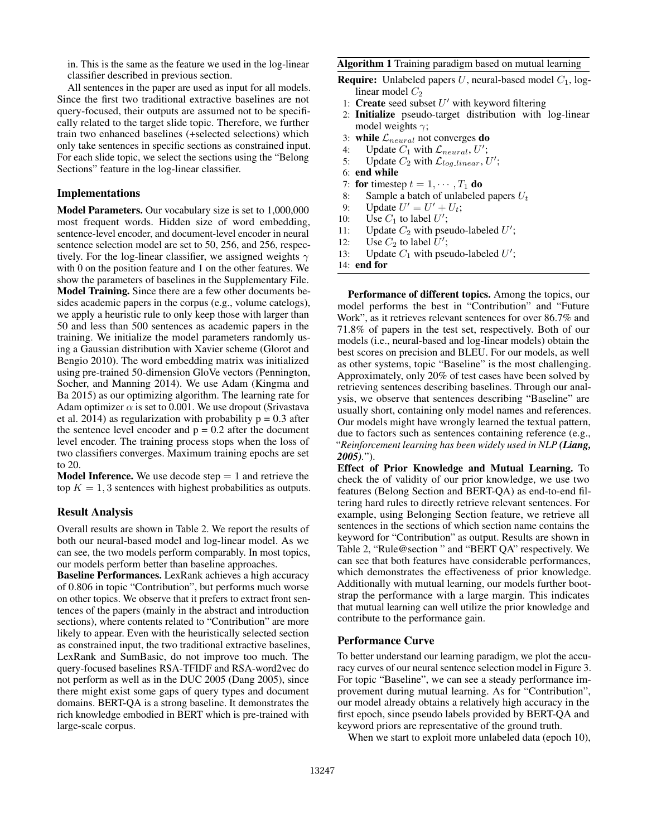in. This is the same as the feature we used in the log-linear classifier described in previous section.

All sentences in the paper are used as input for all models. Since the first two traditional extractive baselines are not query-focused, their outputs are assumed not to be specifically related to the target slide topic. Therefore, we further train two enhanced baselines (+selected selections) which only take sentences in specific sections as constrained input. For each slide topic, we select the sections using the "Belong Sections" feature in the log-linear classifier.

## Implementations

Model Parameters. Our vocabulary size is set to 1,000,000 most frequent words. Hidden size of word embedding, sentence-level encoder, and document-level encoder in neural sentence selection model are set to 50, 256, and 256, respectively. For the log-linear classifier, we assigned weights  $\gamma$ with 0 on the position feature and 1 on the other features. We show the parameters of baselines in the Supplementary File. Model Training. Since there are a few other documents besides academic papers in the corpus (e.g., volume catelogs), we apply a heuristic rule to only keep those with larger than 50 and less than 500 sentences as academic papers in the training. We initialize the model parameters randomly using a Gaussian distribution with Xavier scheme (Glorot and Bengio 2010). The word embedding matrix was initialized using pre-trained 50-dimension GloVe vectors (Pennington, Socher, and Manning 2014). We use Adam (Kingma and Ba 2015) as our optimizing algorithm. The learning rate for Adam optimizer  $\alpha$  is set to 0.001. We use dropout (Srivastava et al. 2014) as regularization with probability  $p = 0.3$  after the sentence level encoder and  $p = 0.2$  after the document level encoder. The training process stops when the loss of two classifiers converges. Maximum training epochs are set to 20.

**Model Inference.** We use decode step  $= 1$  and retrieve the top  $K = 1, 3$  sentences with highest probabilities as outputs.

#### Result Analysis

Overall results are shown in Table 2. We report the results of both our neural-based model and log-linear model. As we can see, the two models perform comparably. In most topics, our models perform better than baseline approaches.

Baseline Performances. LexRank achieves a high accuracy of 0.806 in topic "Contribution", but performs much worse on other topics. We observe that it prefers to extract front sentences of the papers (mainly in the abstract and introduction sections), where contents related to "Contribution" are more likely to appear. Even with the heuristically selected section as constrained input, the two traditional extractive baselines, LexRank and SumBasic, do not improve too much. The query-focused baselines RSA-TFIDF and RSA-word2vec do not perform as well as in the DUC 2005 (Dang 2005), since there might exist some gaps of query types and document domains. BERT-QA is a strong baseline. It demonstrates the rich knowledge embodied in BERT which is pre-trained with large-scale corpus.

#### Algorithm 1 Training paradigm based on mutual learning

- **Require:** Unlabeled papers U, neural-based model  $C_1$ , loglinear model  $C_2$ 
	- 1: Create seed subset  $U'$  with keyword filtering
- 2: Initialize pseudo-target distribution with log-linear model weights  $\gamma$ ;
- 3: while  $\mathcal{L}_{neural}$  not converges do
- 4: Update  $C_1$  with  $\mathcal{L}_{neural}$ , U';
- 5: Update  $C_2$  with  $\mathcal{L}_{log\_linear}$ , U';
- 6: end while
- 7: for timestep  $t = 1, \dots, T_1$  do
- 8: Sample a batch of unlabeled papers  $U_t$ <br>9: Update  $U' = U' + U_t$ :
- 9: Update  $U' = U' + U_t$ ;
- 10: Use  $C_1$  to label U';
- 11: Update  $C_2$  with pseudo-labeled U';
- 12: Use  $C_2$  to label  $\overline{U}'$ ;
- 13: Update  $C_1$  with pseudo-labeled  $U'$ ;
- 14: end for

Performance of different topics. Among the topics, our model performs the best in "Contribution" and "Future Work", as it retrieves relevant sentences for over 86.7% and 71.8% of papers in the test set, respectively. Both of our models (i.e., neural-based and log-linear models) obtain the best scores on precision and BLEU. For our models, as well as other systems, topic "Baseline" is the most challenging. Approximately, only 20% of test cases have been solved by retrieving sentences describing baselines. Through our analysis, we observe that sentences describing "Baseline" are usually short, containing only model names and references. Our models might have wrongly learned the textual pattern, due to factors such as sentences containing reference (e.g., "*Reinforcement learning has been widely used in NLP (Liang, 2005).*").

Effect of Prior Knowledge and Mutual Learning. To check the of validity of our prior knowledge, we use two features (Belong Section and BERT-QA) as end-to-end filtering hard rules to directly retrieve relevant sentences. For example, using Belonging Section feature, we retrieve all sentences in the sections of which section name contains the keyword for "Contribution" as output. Results are shown in Table 2, "Rule@section " and "BERT QA" respectively. We can see that both features have considerable performances, which demonstrates the effectiveness of prior knowledge. Additionally with mutual learning, our models further bootstrap the performance with a large margin. This indicates that mutual learning can well utilize the prior knowledge and contribute to the performance gain.

#### Performance Curve

To better understand our learning paradigm, we plot the accuracy curves of our neural sentence selection model in Figure 3. For topic "Baseline", we can see a steady performance improvement during mutual learning. As for "Contribution", our model already obtains a relatively high accuracy in the first epoch, since pseudo labels provided by BERT-QA and keyword priors are representative of the ground truth.

When we start to exploit more unlabeled data (epoch 10),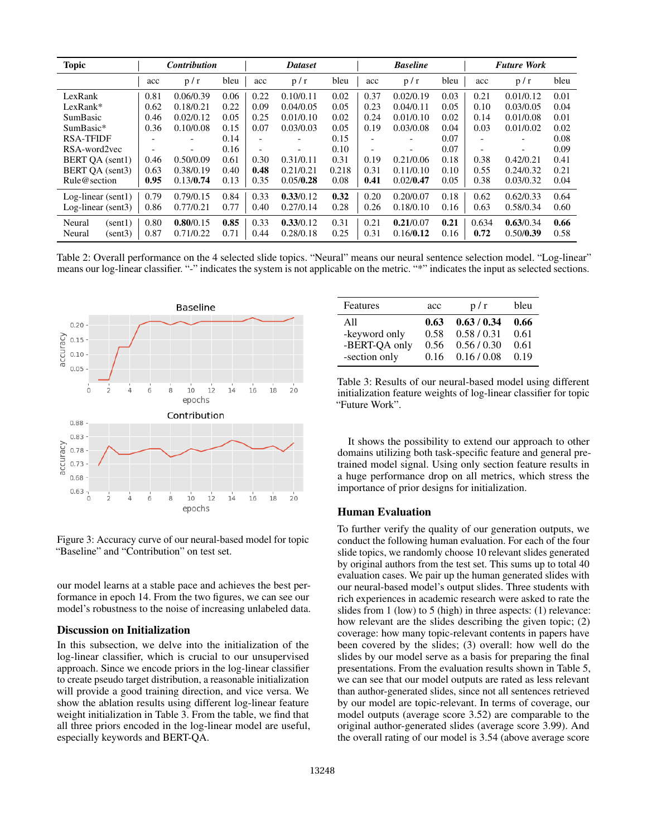| <b>Topic</b>                           |              | <b>Contribution</b>    |              |              | <b>Dataset</b>         |              |              | <b>Baseline</b>        |              |               | <b>Future Work</b>     |              |
|----------------------------------------|--------------|------------------------|--------------|--------------|------------------------|--------------|--------------|------------------------|--------------|---------------|------------------------|--------------|
|                                        | acc          | p/r                    | bleu         | acc          | p/r                    | bleu         | acc          | p/r                    | bleu         | acc           | p/r                    | bleu         |
| LexRank                                | 0.81         | 0.06/0.39              | 0.06         | 0.22         | 0.10/0.11              | 0.02         | 0.37         | 0.02/0.19              | 0.03         | 0.21          | 0.01/0.12              | 0.01         |
| LexRank*                               | 0.62         | 0.18/0.21              | 0.22         | 0.09         | 0.04/0.05              | 0.05         | 0.23         | 0.04/0.11              | 0.05         | 0.10          | 0.03/0.05              | 0.04         |
| SumBasic                               | 0.46         | 0.02/0.12              | 0.05         | 0.25         | 0.01/0.10              | 0.02         | 0.24         | 0.01/0.10              | 0.02         | 0.14          | 0.01/0.08              | 0.01         |
| SumBasic*                              | 0.36         | 0.10/0.08              | 0.15         | 0.07         | 0.03/0.03              | 0.05         | 0.19         | 0.03/0.08              | 0.04         | 0.03          | 0.01/0.02              | 0.02         |
| <b>RSA-TFIDF</b>                       |              |                        | 0.14         |              |                        | 0.15         |              |                        | 0.07         |               |                        | 0.08         |
| RSA-word2yec                           |              |                        | 0.16         |              |                        | 0.10         |              |                        | 0.07         |               |                        | 0.09         |
| BERT QA (sent1)                        | 0.46         | 0.50/0.09              | 0.61         | 0.30         | 0.31/0.11              | 0.31         | 0.19         | 0.21/0.06              | 0.18         | 0.38          | 0.42/0.21              | 0.41         |
| BERT QA (sent3)                        | 0.63         | 0.38/0.19              | 0.40         | 0.48         | 0.21/0.21              | 0.218        | 0.31         | 0.11/0.10              | 0.10         | 0.55          | 0.24/0.32              | 0.21         |
| Rule@section                           | 0.95         | 0.13/0.74              | 0.13         | 0.35         | 0.05/0.28              | 0.08         | 0.41         | 0.02/0.47              | 0.05         | 0.38          | 0.03/0.32              | 0.04         |
| $Log-linear (sent1)$                   | 0.79         | 0.79/0.15              | 0.84         | 0.33         | 0.33/0.12              | 0.32         | 0.20         | 0.20/0.07              | 0.18         | 0.62          | 0.62/0.33              | 0.64         |
| Log-linear $(sent3)$                   | 0.86         | 0.77/0.21              | 0.77         | 0.40         | 0.27/0.14              | 0.28         | 0.26         | 0.18/0.10              | 0.16         | 0.63          | 0.58/0.34              | 0.60         |
| Neural<br>(sent1)<br>Neural<br>(sent3) | 0.80<br>0.87 | 0.80/0.15<br>0.71/0.22 | 0.85<br>0.71 | 0.33<br>0.44 | 0.33/0.12<br>0.28/0.18 | 0.31<br>0.25 | 0.21<br>0.31 | 0.21/0.07<br>0.16/0.12 | 0.21<br>0.16 | 0.634<br>0.72 | 0.63/0.34<br>0.50/0.39 | 0.66<br>0.58 |

Table 2: Overall performance on the 4 selected slide topics. "Neural" means our neural sentence selection model. "Log-linear" means our log-linear classifier. "-" indicates the system is not applicable on the metric. "\*" indicates the input as selected sections.



Figure 3: Accuracy curve of our neural-based model for topic "Baseline" and "Contribution" on test set.

our model learns at a stable pace and achieves the best performance in epoch 14. From the two figures, we can see our model's robustness to the noise of increasing unlabeled data.

#### Discussion on Initialization

In this subsection, we delve into the initialization of the log-linear classifier, which is crucial to our unsupervised approach. Since we encode priors in the log-linear classifier to create pseudo target distribution, a reasonable initialization will provide a good training direction, and vice versa. We show the ablation results using different log-linear feature weight initialization in Table 3. From the table, we find that all three priors encoded in the log-linear model are useful, especially keywords and BERT-QA.

| Features      | acc  | p/r         | bleu |
|---------------|------|-------------|------|
| A11           | 0.63 | 0.63 / 0.34 | 0.66 |
| -keyword only | 0.58 | 0.58/0.31   | 0.61 |
| -BERT-QA only | 0.56 | 0.56/0.30   | 0.61 |
| -section only | 0.16 | 0.16 / 0.08 | 0.19 |

Table 3: Results of our neural-based model using different initialization feature weights of log-linear classifier for topic "Future Work".

It shows the possibility to extend our approach to other domains utilizing both task-specific feature and general pretrained model signal. Using only section feature results in a huge performance drop on all metrics, which stress the importance of prior designs for initialization.

## Human Evaluation

To further verify the quality of our generation outputs, we conduct the following human evaluation. For each of the four slide topics, we randomly choose 10 relevant slides generated by original authors from the test set. This sums up to total 40 evaluation cases. We pair up the human generated slides with our neural-based model's output slides. Three students with rich experiences in academic research were asked to rate the slides from 1 (low) to 5 (high) in three aspects: (1) relevance: how relevant are the slides describing the given topic; (2) coverage: how many topic-relevant contents in papers have been covered by the slides; (3) overall: how well do the slides by our model serve as a basis for preparing the final presentations. From the evaluation results shown in Table 5, we can see that our model outputs are rated as less relevant than author-generated slides, since not all sentences retrieved by our model are topic-relevant. In terms of coverage, our model outputs (average score 3.52) are comparable to the original author-generated slides (average score 3.99). And the overall rating of our model is 3.54 (above average score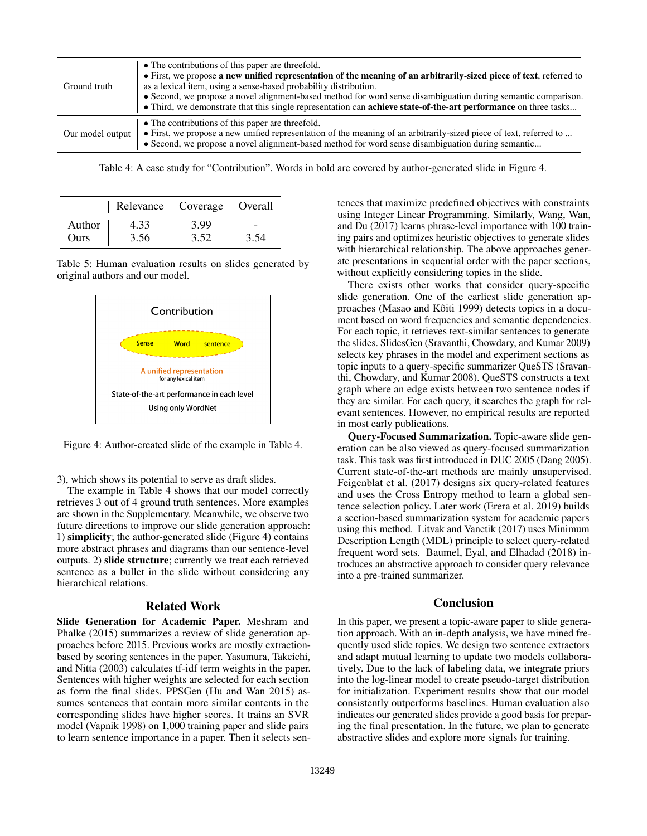| Ground truth     | • The contributions of this paper are threefold.<br>• First, we propose a new unified representation of the meaning of an arbitrarily-sized piece of text, referred to<br>as a lexical item, using a sense-based probability distribution.<br>• Second, we propose a novel alignment-based method for word sense disambiguation during semantic comparison.<br>• Third, we demonstrate that this single representation can <b>achieve state-of-the-art performance</b> on three tasks |
|------------------|---------------------------------------------------------------------------------------------------------------------------------------------------------------------------------------------------------------------------------------------------------------------------------------------------------------------------------------------------------------------------------------------------------------------------------------------------------------------------------------|
| Our model output | • The contributions of this paper are threefold.<br>• First, we propose a new unified representation of the meaning of an arbitrarily-sized piece of text, referred to<br>• Second, we propose a novel alignment-based method for word sense disambiguation during semantic                                                                                                                                                                                                           |

Table 4: A case study for "Contribution". Words in bold are covered by author-generated slide in Figure 4.

|        | Relevance Coverage Overall |      |      |
|--------|----------------------------|------|------|
| Author | 4.33                       | 3.99 |      |
| Ours   | 3.56                       | 3.52 | 3.54 |

Table 5: Human evaluation results on slides generated by original authors and our model.



Figure 4: Author-created slide of the example in Table 4.

3), which shows its potential to serve as draft slides.

The example in Table 4 shows that our model correctly retrieves 3 out of 4 ground truth sentences. More examples are shown in the Supplementary. Meanwhile, we observe two future directions to improve our slide generation approach: 1) simplicity; the author-generated slide (Figure 4) contains more abstract phrases and diagrams than our sentence-level outputs. 2) slide structure; currently we treat each retrieved sentence as a bullet in the slide without considering any hierarchical relations.

#### Related Work

Slide Generation for Academic Paper. Meshram and Phalke (2015) summarizes a review of slide generation approaches before 2015. Previous works are mostly extractionbased by scoring sentences in the paper. Yasumura, Takeichi, and Nitta (2003) calculates tf-idf term weights in the paper. Sentences with higher weights are selected for each section as form the final slides. PPSGen (Hu and Wan 2015) assumes sentences that contain more similar contents in the corresponding slides have higher scores. It trains an SVR model (Vapnik 1998) on 1,000 training paper and slide pairs to learn sentence importance in a paper. Then it selects sentences that maximize predefined objectives with constraints using Integer Linear Programming. Similarly, Wang, Wan, and Du (2017) learns phrase-level importance with 100 training pairs and optimizes heuristic objectives to generate slides with hierarchical relationship. The above approaches generate presentations in sequential order with the paper sections, without explicitly considering topics in the slide.

There exists other works that consider query-specific slide generation. One of the earliest slide generation approaches (Masao and Kôiti 1999) detects topics in a document based on word frequencies and semantic dependencies. For each topic, it retrieves text-similar sentences to generate the slides. SlidesGen (Sravanthi, Chowdary, and Kumar 2009) selects key phrases in the model and experiment sections as topic inputs to a query-specific summarizer QueSTS (Sravanthi, Chowdary, and Kumar 2008). QueSTS constructs a text graph where an edge exists between two sentence nodes if they are similar. For each query, it searches the graph for relevant sentences. However, no empirical results are reported in most early publications.

Query-Focused Summarization. Topic-aware slide generation can be also viewed as query-focused summarization task. This task was first introduced in DUC 2005 (Dang 2005). Current state-of-the-art methods are mainly unsupervised. Feigenblat et al. (2017) designs six query-related features and uses the Cross Entropy method to learn a global sentence selection policy. Later work (Erera et al. 2019) builds a section-based summarization system for academic papers using this method. Litvak and Vanetik (2017) uses Minimum Description Length (MDL) principle to select query-related frequent word sets. Baumel, Eyal, and Elhadad (2018) introduces an abstractive approach to consider query relevance into a pre-trained summarizer.

# Conclusion

In this paper, we present a topic-aware paper to slide generation approach. With an in-depth analysis, we have mined frequently used slide topics. We design two sentence extractors and adapt mutual learning to update two models collaboratively. Due to the lack of labeling data, we integrate priors into the log-linear model to create pseudo-target distribution for initialization. Experiment results show that our model consistently outperforms baselines. Human evaluation also indicates our generated slides provide a good basis for preparing the final presentation. In the future, we plan to generate abstractive slides and explore more signals for training.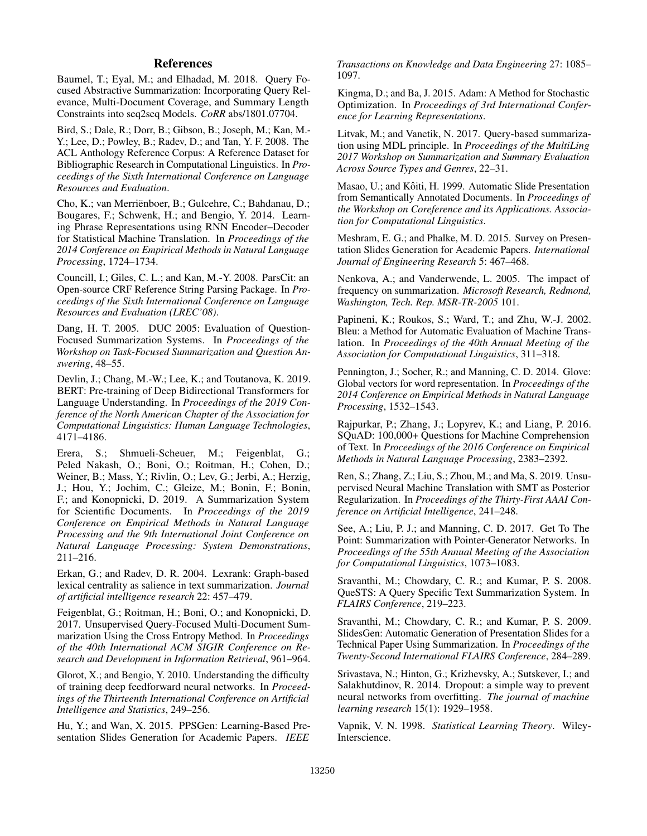## References

Baumel, T.; Eyal, M.; and Elhadad, M. 2018. Query Focused Abstractive Summarization: Incorporating Query Relevance, Multi-Document Coverage, and Summary Length Constraints into seq2seq Models. *CoRR* abs/1801.07704.

Bird, S.; Dale, R.; Dorr, B.; Gibson, B.; Joseph, M.; Kan, M.- Y.; Lee, D.; Powley, B.; Radev, D.; and Tan, Y. F. 2008. The ACL Anthology Reference Corpus: A Reference Dataset for Bibliographic Research in Computational Linguistics. In *Proceedings of the Sixth International Conference on Language Resources and Evaluation*.

Cho, K.; van Merrienboer, B.; Gulcehre, C.; Bahdanau, D.; ¨ Bougares, F.; Schwenk, H.; and Bengio, Y. 2014. Learning Phrase Representations using RNN Encoder–Decoder for Statistical Machine Translation. In *Proceedings of the 2014 Conference on Empirical Methods in Natural Language Processing*, 1724–1734.

Councill, I.; Giles, C. L.; and Kan, M.-Y. 2008. ParsCit: an Open-source CRF Reference String Parsing Package. In *Proceedings of the Sixth International Conference on Language Resources and Evaluation (LREC'08)*.

Dang, H. T. 2005. DUC 2005: Evaluation of Question-Focused Summarization Systems. In *Proceedings of the Workshop on Task-Focused Summarization and Question Answering*, 48–55.

Devlin, J.; Chang, M.-W.; Lee, K.; and Toutanova, K. 2019. BERT: Pre-training of Deep Bidirectional Transformers for Language Understanding. In *Proceedings of the 2019 Conference of the North American Chapter of the Association for Computational Linguistics: Human Language Technologies*, 4171–4186.

Erera, S.; Shmueli-Scheuer, M.; Feigenblat, G.; Peled Nakash, O.; Boni, O.; Roitman, H.; Cohen, D.; Weiner, B.; Mass, Y.; Rivlin, O.; Lev, G.; Jerbi, A.; Herzig, J.; Hou, Y.; Jochim, C.; Gleize, M.; Bonin, F.; Bonin, F.; and Konopnicki, D. 2019. A Summarization System for Scientific Documents. In *Proceedings of the 2019 Conference on Empirical Methods in Natural Language Processing and the 9th International Joint Conference on Natural Language Processing: System Demonstrations*, 211–216.

Erkan, G.; and Radev, D. R. 2004. Lexrank: Graph-based lexical centrality as salience in text summarization. *Journal of artificial intelligence research* 22: 457–479.

Feigenblat, G.; Roitman, H.; Boni, O.; and Konopnicki, D. 2017. Unsupervised Query-Focused Multi-Document Summarization Using the Cross Entropy Method. In *Proceedings of the 40th International ACM SIGIR Conference on Research and Development in Information Retrieval*, 961–964.

Glorot, X.; and Bengio, Y. 2010. Understanding the difficulty of training deep feedforward neural networks. In *Proceedings of the Thirteenth International Conference on Artificial Intelligence and Statistics*, 249–256.

Hu, Y.; and Wan, X. 2015. PPSGen: Learning-Based Presentation Slides Generation for Academic Papers. *IEEE* *Transactions on Knowledge and Data Engineering* 27: 1085– 1097.

Kingma, D.; and Ba, J. 2015. Adam: A Method for Stochastic Optimization. In *Proceedings of 3rd International Conference for Learning Representations*.

Litvak, M.; and Vanetik, N. 2017. Query-based summarization using MDL principle. In *Proceedings of the MultiLing 2017 Workshop on Summarization and Summary Evaluation Across Source Types and Genres*, 22–31.

Masao, U.; and Kôiti, H. 1999. Automatic Slide Presentation from Semantically Annotated Documents. In *Proceedings of the Workshop on Coreference and its Applications. Association for Computational Linguistics*.

Meshram, E. G.; and Phalke, M. D. 2015. Survey on Presentation Slides Generation for Academic Papers. *International Journal of Engineering Research* 5: 467–468.

Nenkova, A.; and Vanderwende, L. 2005. The impact of frequency on summarization. *Microsoft Research, Redmond, Washington, Tech. Rep. MSR-TR-2005* 101.

Papineni, K.; Roukos, S.; Ward, T.; and Zhu, W.-J. 2002. Bleu: a Method for Automatic Evaluation of Machine Translation. In *Proceedings of the 40th Annual Meeting of the Association for Computational Linguistics*, 311–318.

Pennington, J.; Socher, R.; and Manning, C. D. 2014. Glove: Global vectors for word representation. In *Proceedings of the 2014 Conference on Empirical Methods in Natural Language Processing*, 1532–1543.

Rajpurkar, P.; Zhang, J.; Lopyrev, K.; and Liang, P. 2016. SQuAD: 100,000+ Questions for Machine Comprehension of Text. In *Proceedings of the 2016 Conference on Empirical Methods in Natural Language Processing*, 2383–2392.

Ren, S.; Zhang, Z.; Liu, S.; Zhou, M.; and Ma, S. 2019. Unsupervised Neural Machine Translation with SMT as Posterior Regularization. In *Proceedings of the Thirty-First AAAI Conference on Artificial Intelligence*, 241–248.

See, A.; Liu, P. J.; and Manning, C. D. 2017. Get To The Point: Summarization with Pointer-Generator Networks. In *Proceedings of the 55th Annual Meeting of the Association for Computational Linguistics*, 1073–1083.

Sravanthi, M.; Chowdary, C. R.; and Kumar, P. S. 2008. QueSTS: A Query Specific Text Summarization System. In *FLAIRS Conference*, 219–223.

Sravanthi, M.; Chowdary, C. R.; and Kumar, P. S. 2009. SlidesGen: Automatic Generation of Presentation Slides for a Technical Paper Using Summarization. In *Proceedings of the Twenty-Second International FLAIRS Conference*, 284–289.

Srivastava, N.; Hinton, G.; Krizhevsky, A.; Sutskever, I.; and Salakhutdinov, R. 2014. Dropout: a simple way to prevent neural networks from overfitting. *The journal of machine learning research* 15(1): 1929–1958.

Vapnik, V. N. 1998. *Statistical Learning Theory*. Wiley-Interscience.